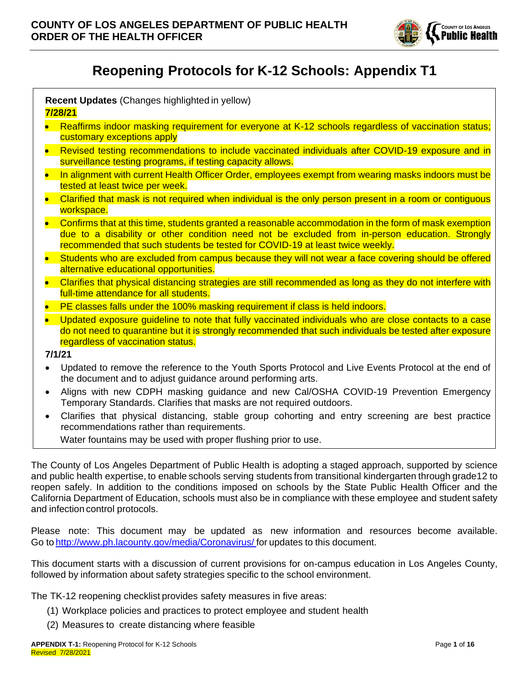

# **Reopening Protocols for K-12 Schools: Appendix T1**

**Recent Updates** (Changes highlighted in yellow) **7/28/21**

- Reaffirms indoor masking requirement for everyone at K-12 schools regardless of vaccination status; customary exceptions apply
- Revised testing recommendations to include vaccinated individuals after COVID-19 exposure and in surveillance testing programs, if testing capacity allows.
- In alignment with current Health Officer Order, employees exempt from wearing masks indoors must be tested at least twice per week.
- Clarified that mask is not required when individual is the only person present in a room or contiguous workspace.
- Confirms that at this time, students granted a reasonable accommodation in the form of mask exemption due to a disability or other condition need not be excluded from in-person education. Strongly recommended that such students be tested for COVID-19 at least twice weekly.
- Students who are excluded from campus because they will not wear a face covering should be offered alternative educational opportunities.
- Clarifies that physical distancing strategies are still recommended as long as they do not interfere with full-time attendance for all students.
- PE classes falls under the 100% masking requirement if class is held indoors.
- Updated exposure quideline to note that fully vaccinated individuals who are close contacts to a case do not need to quarantine but it is strongly recommended that such individuals be tested after exposure regardless of vaccination status.
- **7/1/21**
- Updated to remove the reference to the Youth Sports Protocol and Live Events Protocol at the end of the document and to adjust guidance around performing arts.
- Aligns with new CDPH masking guidance and new Cal/OSHA COVID-19 Prevention Emergency Temporary Standards. Clarifies that masks are not required outdoors.
- Clarifies that physical distancing, stable group cohorting and entry screening are best practice recommendations rather than requirements.
	- Water fountains may be used with proper flushing prior to use.

The County of Los Angeles Department of Public Health is adopting a staged approach, supported by science and public health expertise, to enable schools serving students from transitional kindergarten through grade12 to reopen safely. In addition to the conditions imposed on schools by the State Public Health Officer and the California Department of Education, schools must also be in compliance with these employee and student safety and infection control protocols.

Please note: This document may be updated as new information and resources become available. Go t[o http://www.ph.lacounty.gov/media/Coronavirus/](http://www.ph.lacounty.gov/media/Coronavirus/) for updates to this document.

This document starts with a discussion of current provisions for on-campus education in Los Angeles County, followed by information about safety strategies specific to the school environment.

The TK-12 reopening checklist provides safety measures in five areas:

- (1) Workplace policies and practices to protect employee and student health
- (2) Measures to create distancing where feasible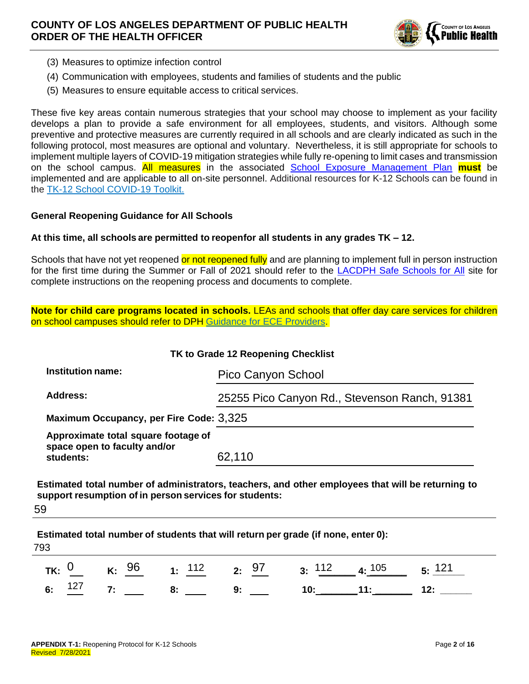

- (3) Measures to optimize infection control
- (4) Communication with employees, students and families of students and the public
- (5) Measures to ensure equitable access to critical services.

These five key areas contain numerous strategies that your school may choose to implement as your facility develops a plan to provide a safe environment for all employees, students, and visitors. Although some preventive and protective measures are currently required in all schools and are clearly indicated as such in the following protocol, most measures are optional and voluntary. Nevertheless, it is still appropriate for schools to implement multiple layers of COVID-19 mitigation strategies while fully re-opening to limit cases and transmission on the school campus. All measures in the associated [School Exposure Management Plan](http://publichealth.lacounty.gov/media/Coronavirus/docs/protocols/ExposureManagementPlan_K12Schools.pdf) **must** be implemented and are applicable to all on-site personnel. Additional resources for K-12 Schools can be found in the [TK-12 School COVID-19 Toolkit.](http://ph.lacounty.gov/acd/ncorona2019/EducationToolkit/TK12)

### **General Reopening Guidance for All Schools**

### **At this time, all schools are permitted to reopenfor all students in any grades TK – 12.**

Schools that have not yet reopened or not reopened fully and are planning to implement full in person instruction for the first time during the Summer or Fall of 2021 should refer to the [LACDPH Safe Schools for All](http://publichealth.lacounty.gov/media/coronavirus/schools.htm) site for complete instructions on the reopening process and documents to complete.

**Note for child care programs located in schools.** LEAs and schools that offer day care services for children on school campuses should refer to DPH [Guidance for ECE Providers.](http://www.ph.lacounty.gov/media/Coronavirus/docs/education/GuidanceEarlyChildhoodEducation.pdf)

| TK to Grade 12 Reopening Checklist                                               |                                               |
|----------------------------------------------------------------------------------|-----------------------------------------------|
| <b>Institution name:</b>                                                         | Pico Canyon School                            |
| Address:                                                                         | 25255 Pico Canyon Rd., Stevenson Ranch, 91381 |
| Maximum Occupancy, per Fire Code: 3,325                                          |                                               |
| Approximate total square footage of<br>space open to faculty and/or<br>students: | 62,110                                        |

**Estimated total number of administrators, teachers, and other employees that will be returning to support resumption of in person services for students:** 59

**Estimated total number of students that will return per grade (if none, enter 0): TK:**  $\frac{0}{127}$  **K:**  $\frac{96}{25}$  **1:**  $\frac{112}{25}$  **2:**  $\frac{97}{9}$  **3:**  $\frac{112}{12}$  **4:**  $\frac{105}{11}$  **5:**  $\frac{121}{12}$ **6:**  $\frac{127}{2}$  7: \_\_\_\_\_\_ 8: \_\_\_\_\_\_ 9: \_\_\_\_\_ 10: \_\_\_\_\_\_11: \_\_\_\_\_\_\_ 12: 793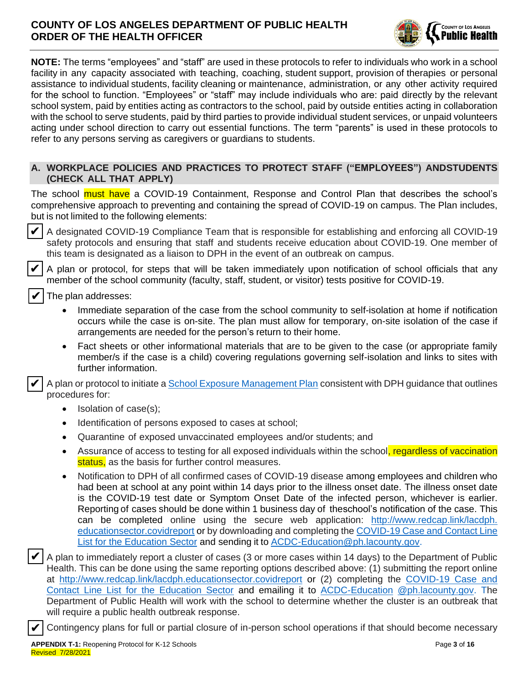

**NOTE:** The terms "employees" and "staff" are used in these protocols to refer to individuals who work in a school facility in any capacity associated with teaching, coaching, student support, provision of therapies or personal assistance to individual students, facility cleaning or maintenance, administration, or any other activity required for the school to function. "Employees" or "staff" may include individuals who are: paid directly by the relevant school system, paid by entities acting as contractors to the school, paid by outside entities acting in collaboration with the school to serve students, paid by third parties to provide individual student services, or unpaid volunteers acting under school direction to carry out essential functions. The term "parents" is used in these protocols to refer to any persons serving as caregivers or guardians to students.

### **A. WORKPLACE POLICIES AND PRACTICES TO PROTECT STAFF ("EMPLOYEES") ANDSTUDENTS (CHECK ALL THAT APPLY)**

The school **must have** a COVID-19 Containment, Response and Control Plan that describes the school's comprehensive approach to preventing and containing the spread of COVID-19 on campus. The Plan includes, but is not limited to the following elements:

✔

✔

✔

✔

❑ A designated COVID-19 Compliance Team that is responsible for establishing and enforcing all COVID-19 safety protocols and ensuring that staff and students receive education about COVID-19. One member of this team is designated as a liaison to DPH in the event of an outbreak on campus.

❑ A plan or protocol, for steps that will be taken immediately upon notification of school officials that any member of the school community (faculty, staff, student, or visitor) tests positive for COVID-19.

❑ The plan addresses:

- Immediate separation of the case from the school community to self-isolation at home if notification occurs while the case is on-site. The plan must allow for temporary, on-site isolation of the case if arrangements are needed for the person's return to their home.
- Fact sheets or other informational materials that are to be given to the case (or appropriate family member/s if the case is a child) covering regulations governing self-isolation and links to sites with further information.

A plan or protocol to initiate a [School Exposure Management Plan](http://www.ph.lacounty.gov/media/Coronavirus/docs/protocols/ExposureManagementPlan_K12Schools.pdf) consistent with DPH guidance that outlines procedures for: ✔

- Isolation of case(s);
- Identification of persons exposed to cases at school;
- Quarantine of exposed unvaccinated employees and/or students; and
- Assurance of access to testing for all exposed individuals within the school, regardless of vaccination status, as the basis for further control measures.
- Notification to DPH of all confirmed cases of COVID-19 disease among employees and children who had been at school at any point within 14 days prior to the illness onset date. The illness onset date is the COVID-19 test date or Symptom Onset Date of the infected person, whichever is earlier. Reporting of cases should be done within 1 business day of theschool's notification of the case. This can be completed online using the secure web application: [http://www.redcap.link/lacdph.](http://www.redcap.link/lacdph.educationsector.covidreport)  [educationsector.covidreport](http://www.redcap.link/lacdph.educationsector.covidreport) or by downloading and completing the [COVID-19 Case and Contact Line](http://publichealth.lacounty.gov/acd/Diseases/EpiForms/COVID_OBlinelist_Education_Sector.xlsm)  [List for the Education Sector](http://publichealth.lacounty.gov/acd/Diseases/EpiForms/COVID_OBlinelist_Education_Sector.xlsm) and sending it to [ACDC-Education@ph.lacounty.gov.](mailto:ACDC-Education@ph.lacounty.gov)
- ❑ A plan to immediately report a cluster of cases (3 or more cases within 14 days) to the Department of Public Health. This can be done using the same reporting options described above: (1) submitting the report online at <http://www.redcap.link/lacdph.educationsector.covidreport> or (2) completing the [COVID-19 Case and](http://publichealth.lacounty.gov/acd/Diseases/EpiForms/COVID_OBlinelist_Education_Sector.xlsm)  [Contact Line List for the Education Sector](http://publichealth.lacounty.gov/acd/Diseases/EpiForms/COVID_OBlinelist_Education_Sector.xlsm) and emailing it to [ACDC-Education](https://www.cdph.ca.gov/Programs/CID/DCDC/Pages/COVID-19/small-groups-child-youth.aspx) [@ph.lacounty.gov.](mailto:ACDC-Education@ph.lacounty.gov) The Department of Public Health will work with the school to determine whether the cluster is an outbreak that will require a public health outbreak response. ✔

❑ Contingency plans for full or partial closure of in-person school operations if that should become necessary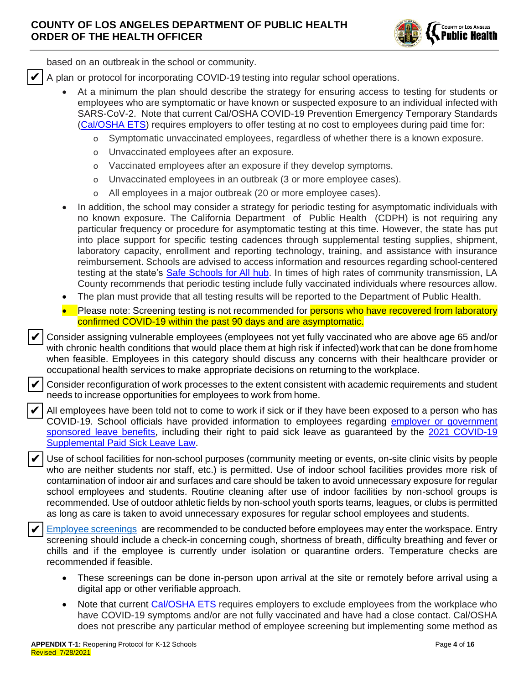

based on an outbreak in the school or community.

❑ A plan or protocol for incorporating COVID-19 testing into regular school operations. ✔

- At a minimum the plan should describe the strategy for ensuring access to testing for students or employees who are symptomatic or have known or suspected exposure to an individual infected with SARS-CoV-2. Note that current Cal/OSHA COVID-19 Prevention Emergency Temporary Standards [\(Cal/OSHA ETS\)](https://www.dir.ca.gov/dosh/coronavirus/ETS.html) requires employers to offer testing at no cost to employees during paid time for:
	- o Symptomatic unvaccinated employees, regardless of whether there is a known exposure.
	- o Unvaccinated employees after an exposure.
	- o Vaccinated employees after an exposure if they develop symptoms.
	- o Unvaccinated employees in an outbreak (3 or more employee cases).
	- o All employees in a major outbreak (20 or more employee cases).
- In addition, the school may consider a strategy for periodic testing for asymptomatic individuals with no known exposure. The California Department of Public Health (CDPH) is not requiring any particular frequency or procedure for asymptomatic testing at this time. However, the state has put into place support for specific testing cadences through supplemental testing supplies, shipment, laboratory capacity, enrollment and reporting technology, training, and assistance with insurance reimbursement. Schools are advised to access information and resources regarding school-centered testing at the state's Safe [Schools](https://schools.covid19.ca.gov/) for All hub. In times of high rates of community transmission, LA County recommends that periodic testing include fully vaccinated individuals where resources allow.
- The plan must provide that all testing results will be reported to the Department of Public Health.
- Please note: Screening testing is not recommended for persons who have recovered from laboratory confirmed COVID-19 within the past 90 days and are asymptomatic.

❑ Consider assigning vulnerable employees (employees not yet fully vaccinated who are above age 65 and/or with chronic health conditions that would place them at high risk if infected) work that can be done from home when feasible. Employees in this category should discuss any concerns with their healthcare provider or occupational health services to make appropriate decisions on returning to the workplace. ✔

❑ Consider reconfiguration of work processes to the extent consistent with academic requirements and student needs to increase opportunities for employees to work from home.

❑ All employees have been told not to come to work if sick or if they have been exposed to a person who has COVID-19. School officials have provided information to employees regarding employer or [government](https://www.labor.ca.gov/coronavirus2019/#chart)  [sponsored leave benefits,](https://www.labor.ca.gov/coronavirus2019/#chart) including their right to paid sick leave as guaranteed by the 2021 COVID-19 [Supplemental Paid Sick Leave Law.](https://www.dir.ca.gov/dlse/COVID19Resources/FAQ-for-SPSL-2021.html)

Use of school facilities for non-school purposes (community meeting or events, on-site clinic visits by people who are neither students nor staff, etc.) is permitted. Use of indoor school facilities provides more risk of contamination of indoor air and surfaces and care should be taken to avoid unnecessary exposure for regular school employees and students. Routine cleaning after use of indoor facilities by non-school groups is recommended. Use of outdoor athletic fields by non-school youth sports teams, leagues, or clubs is permitted as long as care is taken to avoid unnecessary exposures for regular school employees and students. ✔

[Employee screenings](http://www.ph.lacounty.gov/media/Coronavirus/docs/business/EntryScreening.pdf) are recommended to be conducted before employees may enter the workspace. Entry screening should include a check-in concerning cough, shortness of breath, difficulty breathing and fever or chills and if the employee is currently under isolation or quarantine orders. Temperature checks are recommended if feasible. ✔

- These screenings can be done in-person upon arrival at the site or remotely before arrival using a digital app or other verifiable approach.
- Note that current [Cal/OSHA ETS](https://www.dir.ca.gov/dosh/coronavirus/ETS.html) requires employers to exclude employees from the workplace who have COVID-19 symptoms and/or are not fully vaccinated and have had a close contact. Cal/OSHA does not prescribe any particular method of employee screening but implementing some method as

✔

✔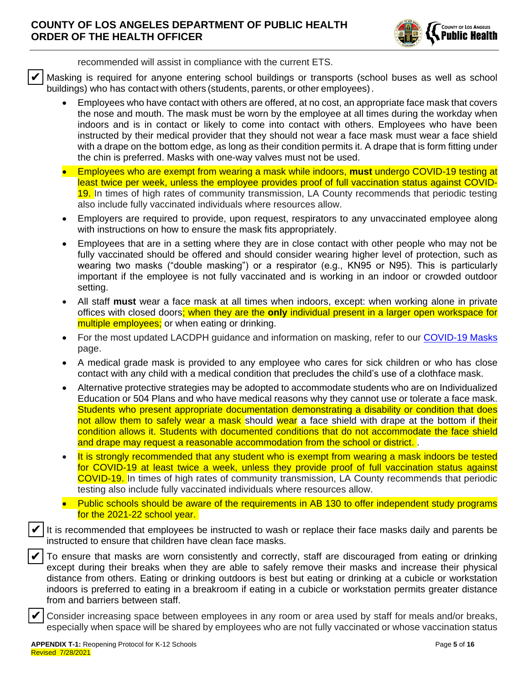

recommended will assist in compliance with the current ETS.

❑ Masking is required for anyone entering school buildings or transports (school buses as well as school buildings) who has contact with others (students, parents, or other employees). ✔

- Employees who have contact with others are offered, at no cost, an appropriate face mask that covers the nose and mouth. The mask must be worn by the employee at all times during the workday when indoors and is in contact or likely to come into contact with others. Employees who have been instructed by their medical provider that they should not wear a face mask must wear a face shield with a drape on the bottom edge, as long as their condition permits it. A drape that is form fitting under the chin is preferred. Masks with one-way valves must not be used.
- Employees who are exempt from wearing a mask while indoors, **must** undergo COVID-19 testing at least twice per week, unless the employee provides proof of full vaccination status against COVID-19. In times of high rates of community transmission, LA County recommends that periodic testing also include fully vaccinated individuals where resources allow.
- Employers are required to provide, upon request, respirators to any unvaccinated employee along with instructions on how to ensure the mask fits appropriately.
- Employees that are in a setting where they are in close contact with other people who may not be fully vaccinated should be offered and should consider wearing higher level of protection, such as wearing two masks ("double masking") or a respirator (e.g., KN95 or N95). This is particularly important if the employee is not fully vaccinated and is working in an indoor or crowded outdoor setting.
- All staff **must** wear a face mask at all times when indoors, except: when working alone in private offices with closed doors; when they are the **only** individual present in a larger open workspace for multiple employees; or when eating or drinking.
- For the most updated LACDPH guidance and information on masking, refer to our [COVID-19 Masks](http://publichealth.lacounty.gov/acd/ncorona2019/masks/) page.
- A medical grade mask is provided to any employee who cares for sick children or who has close contact with any child with a medical condition that precludes the child's use of a clothface mask.
- Alternative protective strategies may be adopted to accommodate students who are on Individualized Education or 504 Plans and who have medical reasons why they cannot use or tolerate a face mask. Students who present appropriate documentation demonstrating a disability or condition that does not allow them to safely wear a mask should wear a face shield with drape at the bottom if their condition allows it. Students with documented conditions that do not accommodate the face shield and drape may request a reasonable accommodation from the school or district. .
- It is strongly recommended that any student who is exempt from wearing a mask indoors be tested for COVID-19 at least twice a week, unless they provide proof of full vaccination status against COVID-19. In times of high rates of community transmission, LA County recommends that periodic testing also include fully vaccinated individuals where resources allow.
- Public schools should be aware of the requirements in AB 130 to offer independent study programs for the 2021-22 school year.

It is recommended that employees be instructed to wash or replace their face masks daily and parents be instructed to ensure that children have clean face masks. ✔

❑ To ensure that masks are worn consistently and correctly, staff are discouraged from eating or drinking except during their breaks when they are able to safely remove their masks and increase their physical distance from others. Eating or drinking outdoors is best but eating or drinking at a cubicle or workstation indoors is preferred to eating in a breakroom if eating in a cubicle or workstation permits greater distance from and barriers between staff. ✔

❑ Consider increasing space between employees in any room or area used by staff for meals and/or breaks, especially when space will be shared by employees who are not fully vaccinated or whose vaccination status

✔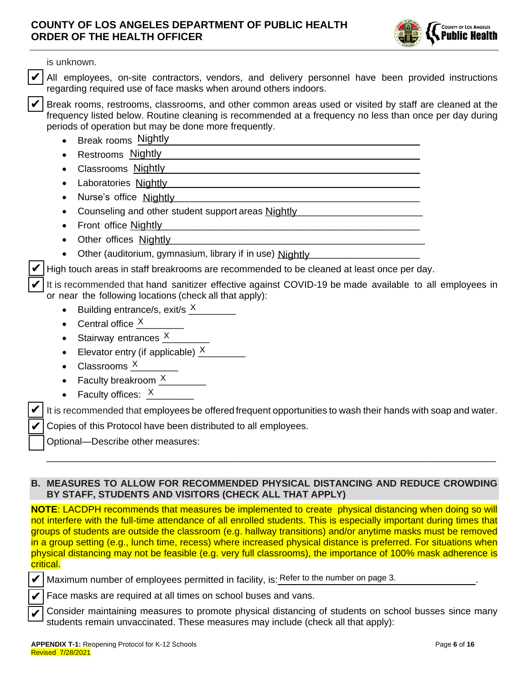

is unknown.

✔ ✔

✔

✔ ✔

All employees, on-site contractors, vendors, and delivery personnel have been provided instructions regarding required use of face masks when around others indoors.

Break rooms, restrooms, classrooms, and other common areas used or visited by staff are cleaned at the frequency listed below. Routine cleaning is recommended at a frequency no less than once per day during periods of operation but may be done more frequently. ✔

- Break rooms Nightly **Example 20 and 20 and 20 and 20 and 20 and 20 and 20 and 20 and 20 and 20 and 20 and 20 and 20 and 20 and 20 and 20 and 20 and 20 and 20 and 20 and 20 and 20 and 20 and 20 and 20 and 20 and 20 and 20**
- $\bullet$  Restrooms  $\frac{\text{Nightly}}{\text{Nup}}$
- Classrooms Nightly **Classrooms** Nightly **Classrooms** Nightly **Classrooms** Nightly **Classrooms** Nightly **Classrooms** Nightly **Classrooms** Nightly **Classrooms** Nightly **Classrooms** Nightly **Classrooms** Nightly **Classrooms**
- Laboratories Nightly **Source According to the Contract of According to the Contract of According to According to According to According the Contract of According to According the Contract of According to According the Co**
- Nurse's office Nightly **Construct of the Section Construct of the Section Construct of the Section Construction**
- Counseling and other student support areas Nightly **Counting the Counseling and other student**
- Front office Nightly **Example 20** Front office Nightly
- Other offices Nightly **Contained a contained a contact of the Street August** 2016
- Other (auditorium, gymnasium, library if in use) Nightly

High touch areas in staff breakrooms are recommended to be cleaned at least once per day.

It is recommended that hand sanitizer effective against COVID-19 be made available to all employees in or near the following locations (check all that apply):

- Building entrance/s, exit/s  $\frac{\text{X}}{\text{X}}$
- Central office  $\frac{X}{X}$
- Stairway entrances  $\frac{X}{X}$
- Elevator entry (if applicable)  $\frac{X}{X}$
- Classrooms  $\frac{\chi}{\chi}$
- Faculty breakroom  $\frac{X}{X}$
- Faculty offices:  $\frac{\textsf{X}}{\textsf{X}}$

It is recommended that employees be offered frequent opportunities to wash their hands with soap and water. ✔

\_\_\_\_\_\_\_\_\_\_\_\_\_\_\_\_\_\_\_\_\_\_\_\_\_\_\_\_\_\_\_\_\_\_\_\_\_\_\_\_\_\_\_\_\_\_\_\_\_\_\_\_\_\_\_\_\_\_\_\_\_\_\_\_\_\_\_\_\_\_\_\_\_\_\_\_\_\_\_\_\_\_\_\_\_

❑ Copies of this Protocol have been distributed to all employees.

❑ Optional—Describe other measures:

### **B. MEASURES TO ALLOW FOR RECOMMENDED PHYSICAL DISTANCING AND REDUCE CROWDING BY STAFF, STUDENTS AND VISITORS (CHECK ALL THAT APPLY)**

**NOTE:** LACDPH recommends that measures be implemented to create physical distancing when doing so will not interfere with the full-time attendance of all enrolled students. This is especially important during times that groups of students are outside the classroom (e.g. hallway transitions) and/or anytime masks must be removed in a group setting (e.g., lunch time, recess) where increased physical distance is preferred. For situations when physical distancing may not be feasible (e.g. very full classrooms), the importance of 100% mask adherence is critical. All amployees, on-site contractors, workors, and delivery personal have been paged to the distinguished control of the number of the number of the number of the number of the number of the number of the number of the numb

Maximum number of employees permitted in facility, is: Refer to the number on page 3. ✔

Face masks are required at all times on school buses and vans.

❑ Consider maintaining measures to promote physical distancing of students on school busses since many students remain unvaccinated. These measures may include (check all that apply):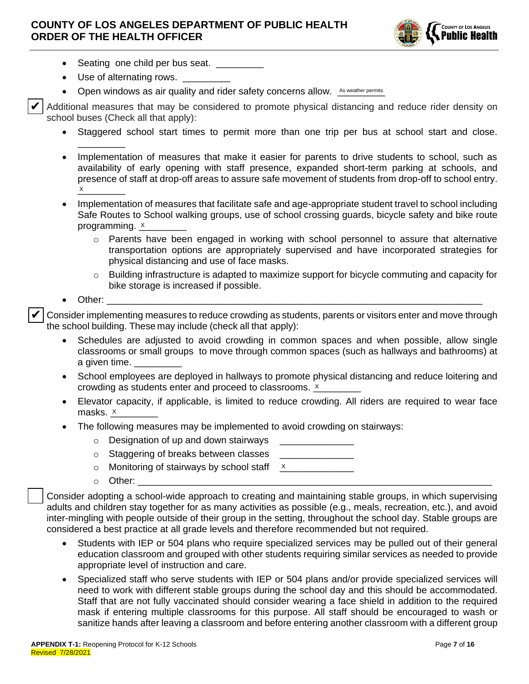

- Seating one child per bus seat.
- Use of alternating rows.
- Open windows as air quality and rider safety concerns allow. As weather permits

❑ Additional measures that may be considered to promote physical distancing and reduce rider density on school buses (Check all that apply): ✔

- Staggered school start times to permit more than one trip per bus at school start and close. \_\_\_\_\_\_\_\_\_
- Implementation of measures that make it easier for parents to drive students to school, such as availability of early opening with staff presence, expanded short-term parking at schools, and presence of staff at drop-off areas to assure safe movement of students from drop-off to school entry.  $\times$
- Implementation of measures that facilitate safe and age-appropriate student travel to school including Safe Routes to School walking groups, use of school crossing guards, bicycle safety and bike route programming. <u>x</u>
	- Parents have been engaged in working with school personnel to assure that alternative transportation options are appropriately supervised and have incorporated strategies for physical distancing and use of face masks.
	- $\circ$  Building infrastructure is adapted to maximize support for bicycle commuting and capacity for bike storage is increased if possible.
- Other: \_\_\_\_\_\_\_\_\_\_\_\_\_\_\_\_\_\_\_\_\_\_\_\_\_\_\_\_\_\_\_\_\_\_\_\_\_\_\_\_\_\_\_\_\_\_\_\_\_\_\_\_\_\_\_\_\_\_\_\_\_\_\_\_\_\_\_\_\_\_\_

❑ Consider implementing measures to reduce crowding as students, parents or visitors enter and move through the school building. These may include (check all that apply): ✔

- Schedules are adjusted to avoid crowding in common spaces and when possible, allow single classrooms or small groups to move through common spaces (such as hallways and bathrooms) at a given time.
- School employees are deployed in hallways to promote physical distancing and reduce loitering and crowding as students enter and proceed to classrooms.  $x$
- Elevator capacity, if applicable, is limited to reduce crowding. All riders are required to wear face masks. \_\_\_\_\_\_\_\_\_ X
- The following measures may be implemented to avoid crowding on stairways:
	- $\circ$  Designation of up and down stairways

 $\circ$  Staggering of breaks between classes

 $\circ$  Monitoring of stairways by school staff X

o Other: \_\_\_\_\_\_\_\_\_\_\_\_\_\_\_\_\_\_\_\_\_\_\_\_\_\_\_\_\_\_\_\_\_\_\_\_\_\_\_\_\_\_\_\_\_\_\_\_\_\_\_\_\_\_\_\_\_\_\_\_\_\_\_\_\_\_\_

❑ Consider adopting a school-wide approach to creating and maintaining stable groups, in which supervising adults and children stay together for as many activities as possible (e.g., meals, recreation, etc.), and avoid inter-mingling with people outside of their group in the setting, throughout the school day. Stable groups are considered a best practice at all grade levels and therefore recommended but not required.

- Students with IEP or 504 plans who require specialized services may be pulled out of their general education classroom and grouped with other students requiring similar services as needed to provide appropriate level of instruction and care.
- Specialized staff who serve students with IEP or 504 plans and/or provide specialized services will need to work with different stable groups during the school day and this should be accommodated. Staff that are not fully vaccinated should consider wearing a face shield in addition to the required mask if entering multiple classrooms for this purpose. All staff should be encouraged to wash or sanitize hands after leaving a classroom and before entering another classroom with a different group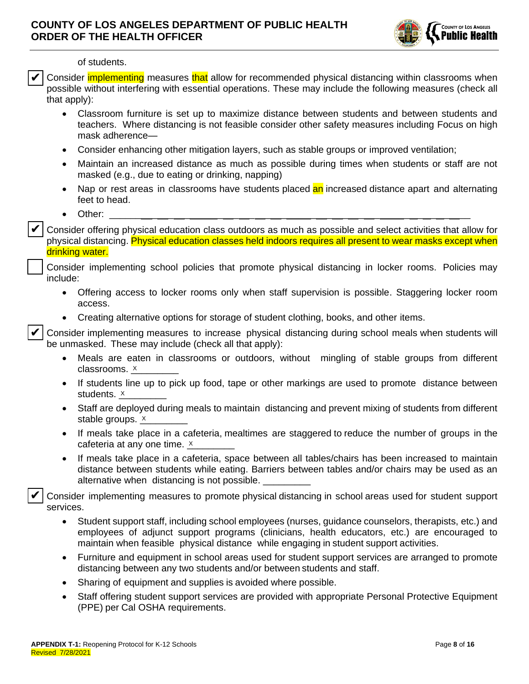

of students.

Consider *implementing* measures that allow for recommended physical distancing within classrooms when possible without interfering with essential operations. These may include the following measures (check all that apply): ✔

- Classroom furniture is set up to maximize distance between students and between students and teachers. Where distancing is not feasible consider other safety measures including Focus on high mask adherence—
- Consider enhancing other mitigation layers, such as stable groups or improved ventilation;
- Maintain an increased distance as much as possible during times when students or staff are not masked (e.g., due to eating or drinking, napping)
- Nap or rest areas in classrooms have students placed an increased distance apart and alternating feet to head.
- Other: \_\_\_\_\_\_ \_ \_ \_ \_ \_ \_ \_ \_ \_ \_ \_ \_ \_ \_ \_ \_ \_ \_\_

✔

❑ Consider offering physical education class outdoors as much as possible and select activities that allow for physical distancing. Physical education classes held indoors requires all present to wear masks except when drinking water.

### ❑ Consider implementing school policies that promote physical distancing in locker rooms. Policies may include:

- Offering access to locker rooms only when staff supervision is possible. Staggering locker room access.
- Creating alternative options for storage of student clothing, books, and other items.

❑ Consider implementing measures to increase physical distancing during school meals when students will be unmasked. These may include (check all that apply): ✔

- Meals are eaten in classrooms or outdoors, without mingling of stable groups from different classrooms. <u>× \_\_\_\_\_\_\_</u>
- If students line up to pick up food, tape or other markings are used to promote distance between students. \_\_\_\_\_\_\_\_\_ X
- Staff are deployed during meals to maintain distancing and prevent mixing of students from different stable groups. <u>x</u>
- If meals take place in a cafeteria, mealtimes are staggered to reduce the number of groups in the cafeteria at any one time.  $x$  \_\_\_\_\_\_\_
- If meals take place in a cafeteria, space between all tables/chairs has been increased to maintain distance between students while eating. Barriers between tables and/or chairs may be used as an alternative when distancing is not possible.

❑ Consider implementing measures to promote physical distancing in school areas used for student support services. ✔

- Student support staff, including school employees (nurses, guidance counselors, therapists, etc.) and employees of adjunct support programs (clinicians, health educators, etc.) are encouraged to maintain when feasible physical distance while engaging in student support activities.
- Furniture and equipment in school areas used for student support services are arranged to promote distancing between any two students and/or between students and staff.
- Sharing of equipment and supplies is avoided where possible.
- Staff offering student support services are provided with appropriate Personal Protective Equipment (PPE) per Cal OSHA requirements.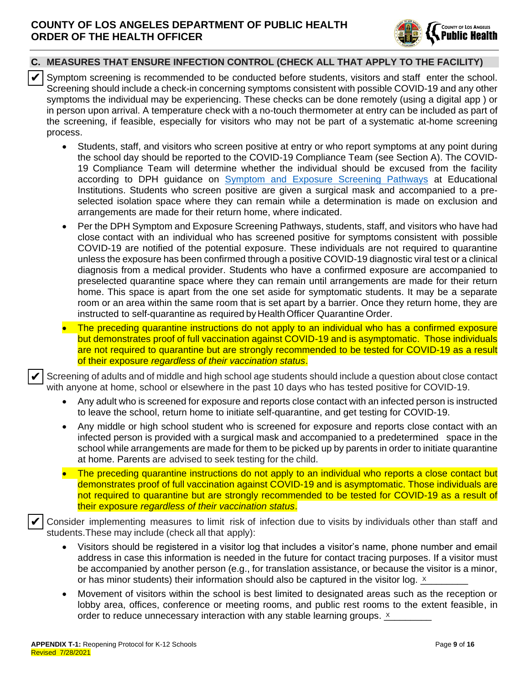

## **C. MEASURES THAT ENSURE INFECTION CONTROL (CHECK ALL THAT APPLY TO THE FACILITY)**

- Symptom screening is recommended to be conducted before students, visitors and staff enter the school. Screening should include a check-in concerning symptoms consistent with possible COVID-19 and any other symptoms the individual may be experiencing. These checks can be done remotely (using a digital app ) or in person upon arrival. A temperature check with a no-touch thermometer at entry can be included as part of the screening, if feasible, especially for visitors who may not be part of a systematic at-home screening process. ✔
	- Students, staff, and visitors who screen positive at entry or who report symptoms at any point during the school day should be reported to the COVID-19 Compliance Team (see Section A). The COVID-19 Compliance Team will determine whether the individual should be excused from the facility according to DPH guidance on [Symptom and Exposure Screening Pathways](http://www.ph.lacounty.gov/media/Coronavirus/docs/education/ScreeningEducationSettings.pdf) at Educational Institutions. Students who screen positive are given a surgical mask and accompanied to a preselected isolation space where they can remain while a determination is made on exclusion and arrangements are made for their return home, where indicated.
	- Per the DPH Symptom and Exposure Screening Pathways, students, staff, and visitors who have had close contact with an individual who has screened positive for symptoms consistent with possible COVID-19 are notified of the potential exposure. These individuals are not required to quarantine unless the exposure has been confirmed through a positive COVID-19 diagnostic viral test or a clinical diagnosis from a medical provider. Students who have a confirmed exposure are accompanied to preselected quarantine space where they can remain until arrangements are made for their return home. This space is apart from the one set aside for symptomatic students. It may be a separate room or an area within the same room that is set apart by a barrier. Once they return home, they are instructed to self-quarantine as required by Health Officer Quarantine Order.

• The preceding quarantine instructions do not apply to an individual who has a confirmed exposure but demonstrates proof of full vaccination against COVID-19 and is asymptomatic. Those individuals are not required to quarantine but are strongly recommended to be tested for COVID-19 as a result of their exposure *regardless of their vaccination status*.

Screening of adults and of middle and high school age students should include a question about close contact with anyone at home, school or elsewhere in the past 10 days who has tested positive for COVID-19. ✔

- Any adult who is screened for exposure and reports close contact with an infected person is instructed to leave the school, return home to initiate self-quarantine, and get testing for COVID-19.
- Any middle or high school student who is screened for exposure and reports close contact with an infected person is provided with a surgical mask and accompanied to a predetermined space in the school while arrangements are made for them to be picked up by parents in order to initiate quarantine at home. Parents are advised to seek testing for the child.
- The preceding quarantine instructions do not apply to an individual who reports a close contact but demonstrates proof of full vaccination against COVID-19 and is asymptomatic. Those individuals are not required to quarantine but are strongly recommended to be tested for COVID-19 as a result of their exposure *regardless of their vaccination status*.

❑ Consider implementing measures to limit risk of infection due to visits by individuals other than staff and students.These may include (check all that apply): ✔

- Visitors should be registered in a visitor log that includes a visitor's name, phone number and email address in case this information is needed in the future for contact tracing purposes. If a visitor must be accompanied by another person (e.g., for translation assistance, or because the visitor is a minor, or has minor students) their information should also be captured in the visitor log.  $x$
- Movement of visitors within the school is best limited to designated areas such as the reception or lobby area, offices, conference or meeting rooms, and public rest rooms to the extent feasible, in order to reduce unnecessary interaction with any stable learning groups.  $x$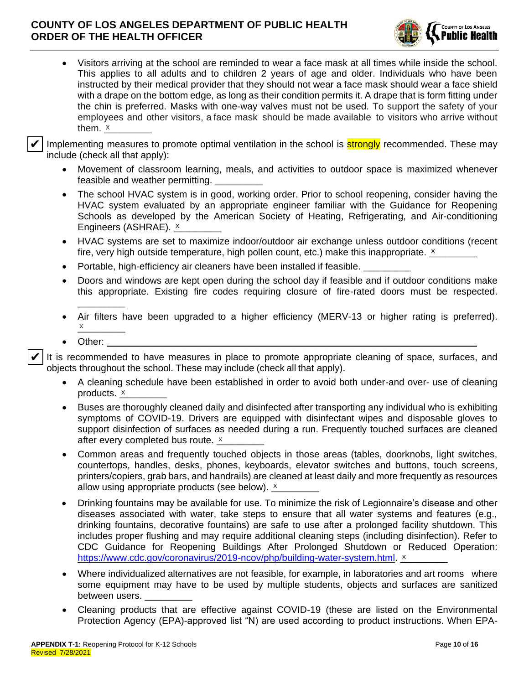

• Visitors arriving at the school are reminded to wear a face mask at all times while inside the school. This applies to all adults and to children 2 years of age and older. Individuals who have been instructed by their medical provider that they should not wear a face mask should wear a face shield with a drape on the bottom edge, as long as their condition permits it. A drape that is form fitting under the chin is preferred. Masks with one-way valves must not be used. To support the safety of your employees and other visitors, a face mask should be made available to visitors who arrive without them. <u>x</u>\_\_\_\_\_\_\_\_

Implementing measures to promote optimal ventilation in the school is **strongly** recommended. These may include (check all that apply): ✔

- Movement of classroom learning, meals, and activities to outdoor space is maximized whenever feasible and weather permitting.
- The school HVAC system is in good, working order. Prior to school reopening, consider having the HVAC system evaluated by an appropriate engineer familiar with the Guidance for Reopening Schools as developed by the American Society of Heating, Refrigerating, and Air-conditioning Engineers (ASHRAE). <u>x</u> \_\_\_\_\_\_\_\_
- HVAC systems are set to maximize indoor/outdoor air exchange unless outdoor conditions (recent fire, very high outside temperature, high pollen count, etc.) make this inappropriate.  $\underline{\text{x}}$
- Portable, high-efficiency air cleaners have been installed if feasible.
- Doors and windows are kept open during the school day if feasible and if outdoor conditions make this appropriate. Existing fire codes requiring closure of fire-rated doors must be respected.
- Air filters have been upgraded to a higher efficiency (MERV-13 or higher rating is preferred).  $\times$
- Other:  $\blacksquare$

\_\_\_\_\_\_\_\_\_

It is recommended to have measures in place to promote appropriate cleaning of space, surfaces, and objects throughout the school. These may include (check all that apply). ✔

- A cleaning schedule have been established in order to avoid both under-and over- use of cleaning products. \_\_\_\_\_\_\_\_\_ X
- Buses are thoroughly cleaned daily and disinfected after transporting any individual who is exhibiting symptoms of COVID-19. Drivers are equipped with disinfectant wipes and disposable gloves to support disinfection of surfaces as needed during a run. Frequently touched surfaces are cleaned after every completed bus route. <u>x</u> \_\_\_\_\_\_\_\_
- Common areas and frequently touched objects in those areas (tables, doorknobs, light switches, countertops, handles, desks, phones, keyboards, elevator switches and buttons, touch screens, printers/copiers, grab bars, and handrails) are cleaned at least daily and more frequently as resources allow using appropriate products (see below).  $\times$  \_\_\_\_\_\_\_\_
- Drinking fountains may be available for use. To minimize the risk of Legionnaire's disease and other diseases associated with water, take steps to ensure that all water systems and features (e.g., drinking fountains, decorative fountains) are safe to use after a prolonged facility shutdown. This includes proper flushing and may require additional cleaning steps (including disinfection). Refer to CDC Guidance for Reopening Buildings After Prolonged Shutdown or Reduced Operation: [https://www.cdc.gov/coronavirus/2019-ncov/php/building-water-system.html.](https://www.cdc.gov/coronavirus/2019-ncov/php/building-water-system.html) X
- Where individualized alternatives are not feasible, for example, in laboratories and art rooms where some equipment may have to be used by multiple students, objects and surfaces are sanitized between users.
- Cleaning products that are effective against COVID-19 (these are listed on the Environmental Protection Agency (EPA)-approved list "N) are used according to product instructions. When EPA-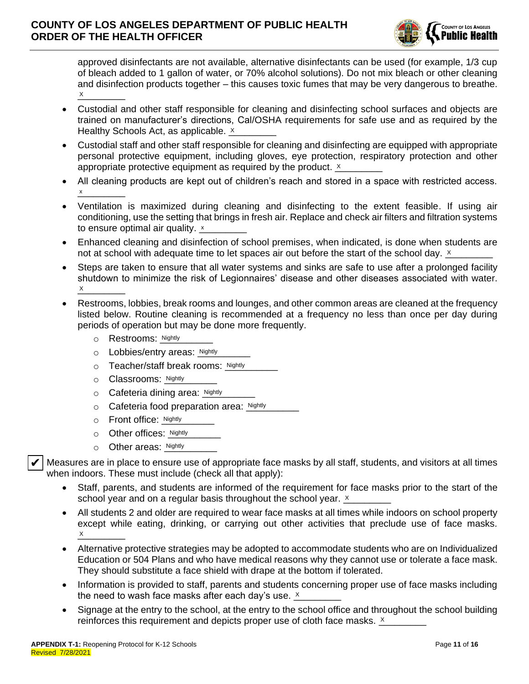

approved disinfectants are not available, alternative disinfectants can be used (for example, 1/3 cup of bleach added to 1 gallon of water, or 70% alcohol solutions). Do not mix bleach or other cleaning and disinfection products together – this causes toxic fumes that may be very dangerous to breathe.  $\times$ 

- Custodial and other staff responsible for cleaning and disinfecting school surfaces and objects are trained on manufacturer's directions, Cal/OSHA requirements for safe use and as required by the Healthy Schools Act, as applicable. X \_\_\_\_\_\_\_\_
- Custodial staff and other staff responsible for cleaning and disinfecting are equipped with appropriate personal protective equipment, including gloves, eye protection, respiratory protection and other appropriate protective equipment as required by the product.  $x$
- All cleaning products are kept out of children's reach and stored in a space with restricted access.  $x$ x
- Ventilation is maximized during cleaning and disinfecting to the extent feasible. If using air conditioning, use the setting that brings in fresh air. Replace and check air filters and filtration systems to ensure optimal air quality.  $x$  and  $x$  and  $y$
- Enhanced cleaning and disinfection of school premises, when indicated, is done when students are not at school with adequate time to let spaces air out before the start of the school day.  $x$
- Steps are taken to ensure that all water systems and sinks are safe to use after a prolonged facility shutdown to minimize the risk of Legionnaires' disease and other diseases associated with water.  $\times$
- Restrooms, lobbies, break rooms and lounges, and other common areas are cleaned at the frequency listed below. Routine cleaning is recommended at a frequency no less than once per day during periods of operation but may be done more frequently.
	- o Restrooms: Nightly
	- o Lobbies/entry areas: \_\_\_\_\_\_\_\_\_\_ Nightly Nightly
	- o Teacher/staff break rooms: Nightly
	- o Classrooms: Nightly
	- o Cafeteria dining area: Nightly
	- o Cafeteria food preparation area: Nightly
	- o Front office: Nightly
	- o Other offices: Nightly
	- o Other areas: Nightly

 $\blacktriangleright$  Measures are in place to ensure use of appropriate face masks by all staff, students, and visitors at all times when indoors. These must include (check all that apply): Nightly<br>
Sure use of appropriate face masks by all stand<br>
nclude (check all that apply):<br>
Nudents are informed of the requirement for<br>
requiar basis throughout the school year. ✔

- Staff, parents, and students are informed of the requirement for face masks prior to the start of the school year and on a regular basis throughout the school year.  $\times$
- All students 2 and older are required to wear face masks at all times while indoors on school property except while eating, drinking, or carrying out other activities that preclude use of face masks.  $\times$
- Alternative protective strategies may be adopted to accommodate students who are on Individualized Education or 504 Plans and who have medical reasons why they cannot use or tolerate a face mask. They should substitute a face shield with drape at the bottom if tolerated.
- Information is provided to staff, parents and students concerning proper use of face masks including the need to wash face masks after each day's use.  $\underline{\text{x}}$
- Signage at the entry to the school, at the entry to the school office and throughout the school building reinforces this requirement and depicts proper use of cloth face masks.  $x$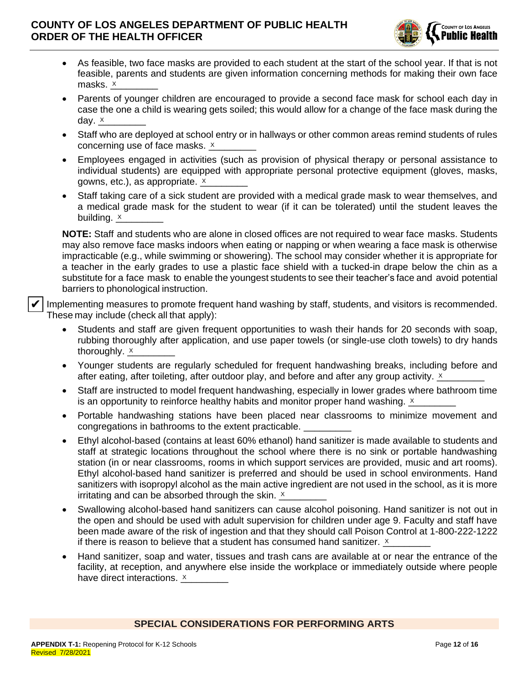

- As feasible, two face masks are provided to each student at the start of the school year. If that is not feasible, parents and students are given information concerning methods for making their own face masks. \_\_\_\_\_\_\_\_\_ X
- Parents of younger children are encouraged to provide a second face mask for school each day in case the one a child is wearing gets soiled; this would allow for a change of the face mask during the day. <u>× \_\_\_\_\_\_</u>
- Staff who are deployed at school entry or in hallways or other common areas remind students of rules concerning use of face masks. <u>x</u> \_\_\_\_\_\_\_\_
- Employees engaged in activities (such as provision of physical therapy or personal assistance to individual students) are equipped with appropriate personal protective equipment (gloves, masks, gowns, etc.), as appropriate.  $\tfrac{\times}{\text{---}}$
- Staff taking care of a sick student are provided with a medical grade mask to wear themselves, and a medical grade mask for the student to wear (if it can be tolerated) until the student leaves the building. <u>× \_\_</u>\_\_\_\_\_\_

**NOTE:** Staff and students who are alone in closed offices are not required to wear face masks. Students may also remove face masks indoors when eating or napping or when wearing a face mask is otherwise impracticable (e.g., while swimming or showering). The school may consider whether it is appropriate for a teacher in the early grades to use a plastic face shield with a tucked-in drape below the chin as a substitute for a face mask to enable the youngest students to see their teacher's face and avoid potential barriers to phonological instruction.

Implementing measures to promote frequent hand washing by staff, students, and visitors is recommended. These may include (check all that apply):

- Students and staff are given frequent opportunities to wash their hands for 20 seconds with soap, rubbing thoroughly after application, and use paper towels (or single-use cloth towels) to dry hands thoroughly.  $\underline{\mathsf{x}}$  \_\_\_\_\_\_\_\_
- Younger students are regularly scheduled for frequent handwashing breaks, including before and after eating, after toileting, after outdoor play, and before and after any group activity.  $\frac{\times}{\sqrt{2}}$
- Staff are instructed to model frequent handwashing, especially in lower grades where bathroom time is an opportunity to reinforce healthy habits and monitor proper hand washing.  $x$
- Portable handwashing stations have been placed near classrooms to minimize movement and congregations in bathrooms to the extent practicable.
- Ethyl alcohol-based (contains at least 60% ethanol) hand sanitizer is made available to students and staff at strategic locations throughout the school where there is no sink or portable handwashing station (in or near classrooms, rooms in which support services are provided, music and art rooms). Ethyl alcohol-based hand sanitizer is preferred and should be used in school environments. Hand sanitizers with isopropyl alcohol as the main active ingredient are not used in the school, as it is more irritating and can be absorbed through the skin.  $\times$
- Swallowing alcohol-based hand sanitizers can cause alcohol poisoning. Hand sanitizer is not out in the open and should be used with adult supervision for children under age 9. Faculty and staff have been made aware of the risk of ingestion and that they should call Poison Control at 1-800-222-1222 if there is reason to believe that a student has consumed hand sanitizer.  $\underline{\text{x}}$
- Hand sanitizer, soap and water, tissues and trash cans are available at or near the entrance of the facility, at reception, and anywhere else inside the workplace or immediately outside where people have direct interactions. <u>x</u> \_\_\_\_\_\_\_\_

### **SPECIAL CONSIDERATIONS FOR PERFORMING ARTS**

✔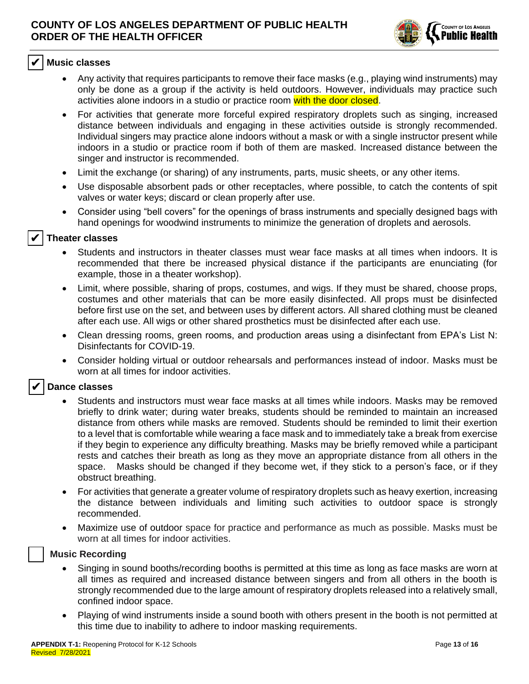

#### ❑ **Music classes** ✔

- Any activity that requires participants to remove their face masks (e.g., playing wind instruments) may only be done as a group if the activity is held outdoors. However, individuals may practice such activities alone indoors in a studio or practice room with the door closed.
- For activities that generate more forceful expired respiratory droplets such as singing, increased distance between individuals and engaging in these activities outside is strongly recommended. Individual singers may practice alone indoors without a mask or with a single instructor present while indoors in a studio or practice room if both of them are masked. Increased distance between the singer and instructor is recommended.
- Limit the exchange (or sharing) of any instruments, parts, music sheets, or any other items.
- Use disposable absorbent pads or other receptacles, where possible, to catch the contents of spit valves or water keys; discard or clean properly after use.
- Consider using "bell covers" for the openings of brass instruments and specially designed bags with hand openings for woodwind instruments to minimize the generation of droplets and aerosols.

#### ❑ **Theater classes** ✔

- Students and instructors in theater classes must wear face masks at all times when indoors. It is recommended that there be increased physical distance if the participants are enunciating (for example, those in a theater workshop).
- Limit, where possible, sharing of props, costumes, and wigs. If they must be shared, choose props, costumes and other materials that can be more easily disinfected. All props must be disinfected before first use on the set, and between uses by different actors. All shared clothing must be cleaned after each use. All wigs or other shared prosthetics must be disinfected after each use.
- Clean dressing rooms, green rooms, and production areas using a disinfectant from EPA's List N: Disinfectants for COVID-19.
- Consider holding virtual or outdoor rehearsals and performances instead of indoor. Masks must be worn at all times for indoor activities.

#### ❑ **Dance classes** ✔

- Students and instructors must wear face masks at all times while indoors. Masks may be removed briefly to drink water; during water breaks, students should be reminded to maintain an increased distance from others while masks are removed. Students should be reminded to limit their exertion to a level that is comfortable while wearing a face mask and to immediately take a break from exercise if they begin to experience any difficulty breathing. Masks may be briefly removed while a participant rests and catches their breath as long as they move an appropriate distance from all others in the space. Masks should be changed if they become wet, if they stick to a person's face, or if they obstruct breathing.
- For activities that generate a greater volume of respiratory droplets such as heavy exertion, increasing the distance between individuals and limiting such activities to outdoor space is strongly recommended.
- Maximize use of outdoor space for practice and performance as much as possible. Masks must be worn at all times for indoor activities.

### ❑ **Music Recording**

- Singing in sound booths/recording booths is permitted at this time as long as face masks are worn at all times as required and increased distance between singers and from all others in the booth is strongly recommended due to the large amount of respiratory droplets released into a relatively small, confined indoor space.
- Playing of wind instruments inside a sound booth with others present in the booth is not permitted at this time due to inability to adhere to indoor masking requirements.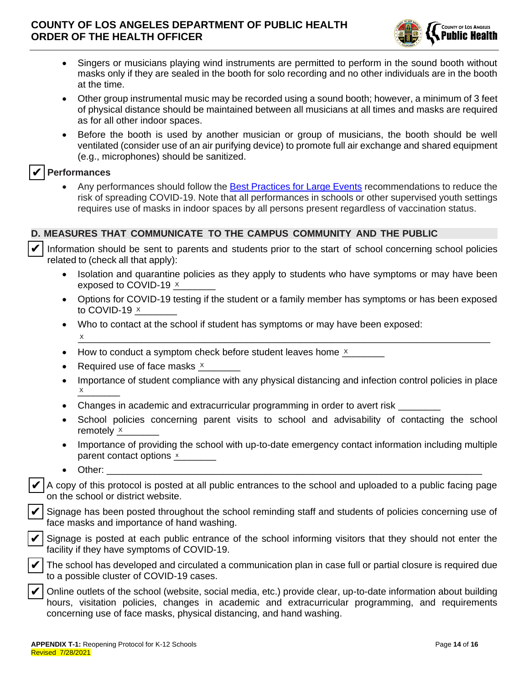

- Singers or musicians playing wind instruments are permitted to perform in the sound booth without masks only if they are sealed in the booth for solo recording and no other individuals are in the booth at the time.
- Other group instrumental music may be recorded using a sound booth; however, a minimum of 3 feet of physical distance should be maintained between all musicians at all times and masks are required as for all other indoor spaces.
- Before the booth is used by another musician or group of musicians, the booth should be well ventilated (consider use of an air purifying device) to promote full air exchange and shared equipment (e.g., microphones) should be sanitized.

# ❑ **Performances** ✔

• Any performances should follow the [Best Practices for Large Events](http://publichealth.lacounty.gov/acd/ncorona2019/bestpractices/largeevents/) recommendations to reduce the risk of spreading COVID-19. Note that all performances in schools or other supervised youth settings requires use of masks in indoor spaces by all persons present regardless of vaccination status.

### **D. MEASURES THAT COMMUNICATE TO THE CAMPUS COMMUNITY AND THE PUBLIC**

Information should be sent to parents and students prior to the start of school concerning school policies related to (check all that apply): ✔

- Isolation and quarantine policies as they apply to students who have symptoms or may have been exposed to COVID-19  $\times$
- Options for COVID-19 testing if the student or a family member has symptoms or has been exposed to COVID-19 <u>×</u>\_\_\_\_\_\_\_
- Who to contact at the school if student has symptoms or may have been exposed:  $\underline{X}$  , and the contract of the contract of the contract of the contract of the contract of the contract of the contract of the contract of the contract of the contract of the contract of the contract of the contract o X
- How to conduct a symptom check before student leaves home  $x$
- Required use of face masks  $\times$
- Importance of student compliance with any physical distancing and infection control policies in place  $\times$ X
- Changes in academic and extracurricular programming in order to avert risk
- School policies concerning parent visits to school and advisability of contacting the school remotely <u>x</u>
- Importance of providing the school with up-to-date emergency contact information including multiple parent contact options x \_\_\_\_\_\_\_
- Other: \_\_\_\_\_\_\_\_\_\_\_\_\_\_\_\_\_\_\_\_\_\_\_\_\_\_\_\_\_\_\_\_\_\_\_\_\_\_\_\_\_\_\_\_\_\_\_\_\_\_\_\_\_\_\_\_\_\_\_\_\_\_\_\_\_\_\_\_\_\_\_

❑ A copy of this protocol is posted at all public entrances to the school and uploaded to a public facing page on the school or district website.

Signage has been posted throughout the school reminding staff and students of policies concerning use of face masks and importance of hand washing.

Signage is posted at each public entrance of the school informing visitors that they should not enter the facility if they have symptoms of COVID-19.



✔

✔

✔

The school has developed and circulated a communication plan in case full or partial closure is required due to a possible cluster of COVID-19 cases.

❑ Online outlets of the school (website, social media, etc.) provide clear, up-to-date information about building hours, visitation policies, changes in academic and extracurricular programming, and requirements concerning use of face masks, physical distancing, and hand washing. ✔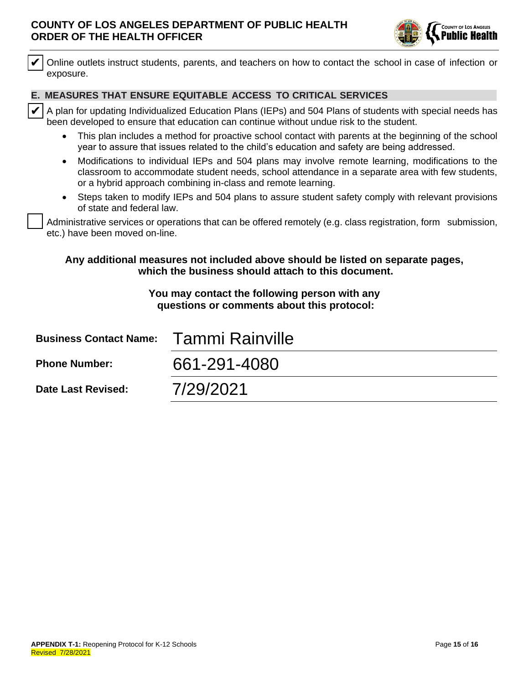

### **E. MEASURES THAT ENSURE EQUITABLE ACCESS TO CRITICAL SERVICES**

- This plan includes a method for proactive school contact with parents at the beginning of the school year to assure that issues related to the child's education and safety are being addressed.
- Modifications to individual IEPs and 504 plans may involve remote learning, modifications to the classroom to accommodate student needs, school attendance in a separate area with few students, or a hybrid approach combining in-class and remote learning.
- Steps taken to modify IEPs and 504 plans to assure student safety comply with relevant provisions of state and federal law.

## **Any additional measures not included above should be listed on separate pages, which the business should attach to this document.**

### **You may contact the following person with any questions or comments about this protocol:**

| Online outlets instruct students, parents, and teachers on how to contact the school in case of infection or                                                                                                                                                                     |  |
|----------------------------------------------------------------------------------------------------------------------------------------------------------------------------------------------------------------------------------------------------------------------------------|--|
| E. MEASURES THAT ENSURE EQUITABLE ACCESS TO CRITICAL SERVICES                                                                                                                                                                                                                    |  |
| $\boldsymbol{\mathcal{V}}$ $\vdash$<br>A plan for updating Individualized Education Plans (IEPs) and 504 Plans of students with special needs has<br>been developed to ensure that education can continue without undue risk to the student.                                     |  |
| This plan includes a method for proactive school contact with parents at the beginning of the school<br>year to assure that issues related to the child's education and safety are being addressed.                                                                              |  |
| Modifications to individual IEPs and 504 plans may involve remote learning, modifications to the<br>$\bullet$<br>classroom to accommodate student needs, school attendance in a separate area with few students,<br>or a hybrid approach combining in-class and remote learning. |  |
| Steps taken to modify IEPs and 504 plans to assure student safety comply with relevant provisions<br>of state and federal law.                                                                                                                                                   |  |
| Administrative services or operations that can be offered remotely (e.g. class registration, form submission,<br>etc.) have been moved on-line.                                                                                                                                  |  |
| Any additional measures not included above should be listed on separate pages,<br>which the business should attach to this document.                                                                                                                                             |  |
| You may contact the following person with any<br>questions or comments about this protocol:                                                                                                                                                                                      |  |
| <b>Tammi Rainville</b>                                                                                                                                                                                                                                                           |  |
| 661-291-4080                                                                                                                                                                                                                                                                     |  |
| 7/29/2021                                                                                                                                                                                                                                                                        |  |
|                                                                                                                                                                                                                                                                                  |  |